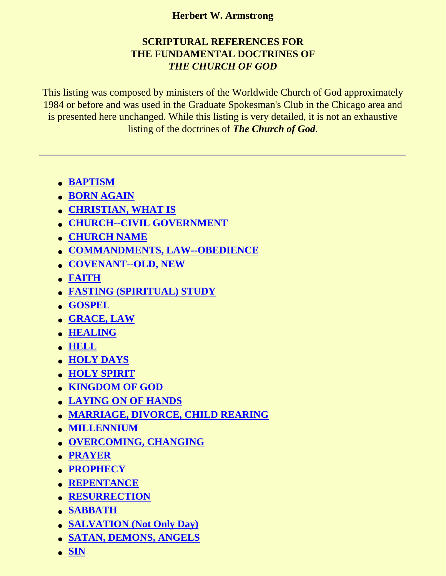## **Herbert W. Armstrong**

# **SCRIPTURAL REFERENCES FOR THE FUNDAMENTAL DOCTRINES OF** *THE CHURCH OF GOD*

This listing was composed by ministers of the Worldwide Church of God approximately 1984 or before and was used in the Graduate Spokesman's Club in the Chicago area and is presented here unchanged. While this listing is very detailed, it is not an exhaustive listing of the doctrines of *The Church of God*.

- **[BAPTISM](#page-1-0)**
- **[BORN AGAIN](#page-1-1)**
- **[CHRISTIAN, WHAT IS](#page-2-0)**
- **[CHURCH--CIVIL GOVERNMENT](#page-2-1)**
- **[CHURCH NAME](#page-3-0)**
- **[COMMANDMENTS, LAW--OBEDIENCE](#page-3-1)**
- **[COVENANT--OLD, NEW](#page-4-0)**
- **[FAITH](#page-4-1)**
- **[FASTING \(SPIRITUAL\) STUDY](#page-5-0)**
- **[GOSPEL](#page-6-0)**
- **[GRACE, LAW](#page-6-1)**
- **[HEALING](#page-7-0)**
- **[HELL](#page-8-0)**
- **[HOLY DAYS](#page-8-1)**
- **[HOLY SPIRIT](#page-10-0)**
- **[KINGDOM OF GOD](#page-11-0)**
- **[LAYING ON OF HANDS](#page-12-0)**
- **[MARRIAGE, DIVORCE, CHILD REARING](#page-13-0)**
- **[MILLENNIUM](#page-14-0)**
- **[OVERCOMING, CHANGING](#page-14-1)**
- **[PRAYER](#page-15-0)**
- **[PROPHECY](#page-16-0)**
- **[REPENTANCE](#page-17-0)**
- **[RESURRECTION](#page-18-0)**
- **[SABBATH](#page-19-0)**
- **[SALVATION \(Not Only Day\)](#page-19-1)**
- **[SATAN, DEMONS, ANGELS](#page-20-0)**
- **[SIN](#page-21-0)**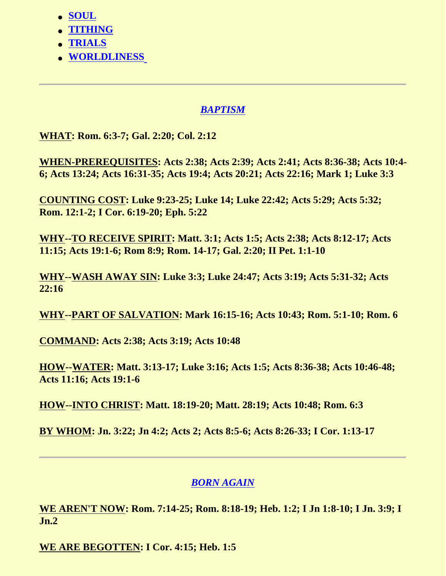- **[SOUL](#page-21-1)**
- **[TITHING](#page-22-0)**
- **[TRIALS](#page-23-0)**
- **[WORLDLINESS](#page-23-1)**

# *BAPTISM*

<span id="page-1-0"></span>**WHAT: Rom. 6:3-7; Gal. 2:20; Col. 2:12**

**WHEN-PREREQUISITES: Acts 2:38; Acts 2:39; Acts 2:41; Acts 8:36-38; Acts 10:4- 6; Acts 13:24; Acts 16:31-35; Acts 19:4; Acts 20:21; Acts 22:16; Mark 1; Luke 3:3**

**COUNTING COST: Luke 9:23-25; Luke 14; Luke 22:42; Acts 5:29; Acts 5:32; Rom. 12:1-2; I Cor. 6:19-20; Eph. 5:22**

**WHY--TO RECEIVE SPIRIT: Matt. 3:1; Acts 1:5; Acts 2:38; Acts 8:12-17; Acts 11:15; Acts 19:1-6; Rom 8:9; Rom. 14-17; Gal. 2:20; II Pet. 1:1-10**

**WHY--WASH AWAY SIN: Luke 3:3; Luke 24:47; Acts 3:19; Acts 5:31-32; Acts 22:16**

**WHY--PART OF SALVATION: Mark 16:15-16; Acts 10:43; Rom. 5:1-10; Rom. 6**

**COMMAND: Acts 2:38; Acts 3:19; Acts 10:48**

**HOW--WATER: Matt. 3:13-17; Luke 3:16; Acts 1:5; Acts 8:36-38; Acts 10:46-48; Acts 11:16; Acts 19:1-6**

**HOW--INTO CHRIST: Matt. 18:19-20; Matt. 28:19; Acts 10:48; Rom. 6:3**

**BY WHOM: Jn. 3:22; Jn 4:2; Acts 2; Acts 8:5-6; Acts 8:26-33; I Cor. 1:13-17**

# *BORN AGAIN*

<span id="page-1-1"></span>**WE AREN'T NOW: Rom. 7:14-25; Rom. 8:18-19; Heb. 1:2; I Jn 1:8-10; I Jn. 3:9; I Jn.2**

**WE ARE BEGOTTEN: I Cor. 4:15; Heb. 1:5**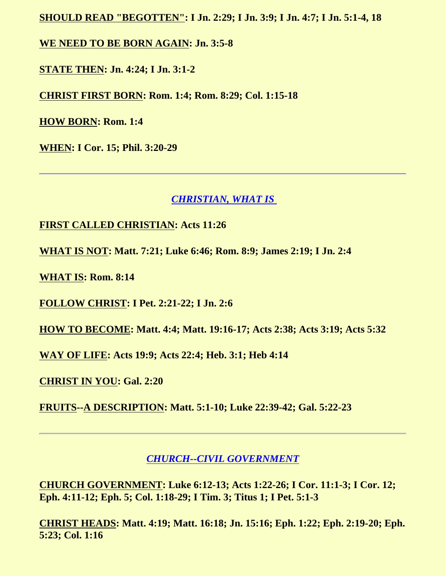**SHOULD READ "BEGOTTEN": I Jn. 2:29; I Jn. 3:9; I Jn. 4:7; I Jn. 5:1-4, 18**

**WE NEED TO BE BORN AGAIN: Jn. 3:5-8**

**STATE THEN: Jn. 4:24; I Jn. 3:1-2**

**CHRIST FIRST BORN: Rom. 1:4; Rom. 8:29; Col. 1:15-18**

**HOW BORN: Rom. 1:4**

**WHEN: I Cor. 15; Phil. 3:20-29**

### *CHRISTIAN, WHAT IS*

#### <span id="page-2-0"></span>**FIRST CALLED CHRISTIAN: Acts 11:26**

**WHAT IS NOT: Matt. 7:21; Luke 6:46; Rom. 8:9; James 2:19; I Jn. 2:4**

**WHAT IS: Rom. 8:14**

**FOLLOW CHRIST: I Pet. 2:21-22; I Jn. 2:6**

**HOW TO BECOME: Matt. 4:4; Matt. 19:16-17; Acts 2:38; Acts 3:19; Acts 5:32**

**WAY OF LIFE: Acts 19:9; Acts 22:4; Heb. 3:1; Heb 4:14**

**CHRIST IN YOU: Gal. 2:20**

**FRUITS--A DESCRIPTION: Matt. 5:1-10; Luke 22:39-42; Gal. 5:22-23**

## *CHURCH--CIVIL GOVERNMENT*

<span id="page-2-1"></span>**CHURCH GOVERNMENT: Luke 6:12-13; Acts 1:22-26; I Cor. 11:1-3; I Cor. 12; Eph. 4:11-12; Eph. 5; Col. 1:18-29; I Tim. 3; Titus 1; I Pet. 5:1-3**

**CHRIST HEADS: Matt. 4:19; Matt. 16:18; Jn. 15:16; Eph. 1:22; Eph. 2:19-20; Eph. 5:23; Col. 1:16**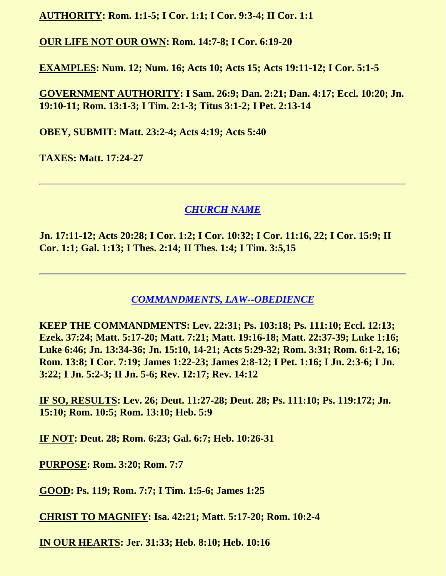**AUTHORITY: Rom. 1:1-5; I Cor. 1:1; I Cor. 9:3-4; II Cor. 1:1**

**OUR LIFE NOT OUR OWN: Rom. 14:7-8; I Cor. 6:19-20**

**EXAMPLES: Num. 12; Num. 16; Acts 10; Acts 15; Acts 19:11-12; I Cor. 5:1-5**

**GOVERNMENT AUTHORITY: I Sam. 26:9; Dan. 2:21; Dan. 4:17; Eccl. 10:20; Jn. 19:10-11; Rom. 13:1-3; I Tim. 2:1-3; Titus 3:1-2; I Pet. 2:13-14**

**OBEY, SUBMIT: Matt. 23:2-4; Acts 4:19; Acts 5:40**

**TAXES: Matt. 17:24-27**

## *CHURCH NAME*

<span id="page-3-0"></span>**Jn. 17:11-12; Acts 20:28; I Cor. 1:2; I Cor. 10:32; I Cor. 11:16, 22; I Cor. 15:9; II Cor. 1:1; Gal. 1:13; I Thes. 2:14; II Thes. 1:4; I Tim. 3:5,15**

*COMMANDMENTS, LAW--OBEDIENCE*

<span id="page-3-1"></span>**KEEP THE COMMANDMENTS: Lev. 22:31; Ps. 103:18; Ps. 111:10; Eccl. 12:13; Ezek. 37:24; Matt. 5:17-20; Matt. 7:21; Matt. 19:16-18; Matt. 22:37-39; Luke 1:16; Luke 6:46; Jn. 13:34-36; Jn. 15:10, 14-21; Acts 5:29-32; Rom. 3:31; Rom. 6:1-2, 16; Rom. 13:8; I Cor. 7:19; James 1:22-23; James 2:8-12; I Pet. 1:16; I Jn. 2:3-6; I Jn. 3:22; I Jn. 5:2-3; II Jn. 5-6; Rev. 12:17; Rev. 14:12**

**IF SO, RESULTS: Lev. 26; Deut. 11:27-28; Deut. 28; Ps. 111:10; Ps. 119:172; Jn. 15:10; Rom. 10:5; Rom. 13:10; Heb. 5:9**

**IF NOT: Deut. 28; Rom. 6:23; Gal. 6:7; Heb. 10:26-31**

**PURPOSE: Rom. 3:20; Rom. 7:7**

**GOOD: Ps. 119; Rom. 7:7; I Tim. 1:5-6; James 1:25**

**CHRIST TO MAGNIFY: Isa. 42:21; Matt. 5:17-20; Rom. 10:2-4**

**IN OUR HEARTS: Jer. 31:33; Heb. 8:10; Heb. 10:16**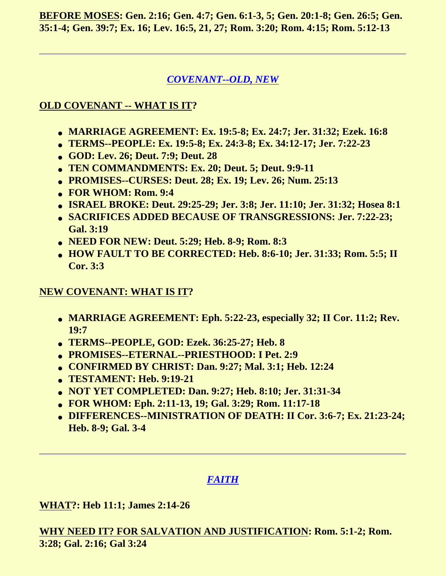**BEFORE MOSES: Gen. 2:16; Gen. 4:7; Gen. 6:1-3, 5; Gen. 20:1-8; Gen. 26:5; Gen. 35:1-4; Gen. 39:7; Ex. 16; Lev. 16:5, 21, 27; Rom. 3:20; Rom. 4:15; Rom. 5:12-13**

## *COVENANT--OLD, NEW*

## <span id="page-4-0"></span>**OLD COVENANT -- WHAT IS IT?**

- **MARRIAGE AGREEMENT: Ex. 19:5-8; Ex. 24:7; Jer. 31:32; Ezek. 16:8**
- **TERMS--PEOPLE: Ex. 19:5-8; Ex. 24:3-8; Ex. 34:12-17; Jer. 7:22-23**
- **GOD: Lev. 26; Deut. 7:9; Deut. 28**
- **TEN COMMANDMENTS: Ex. 20; Deut. 5; Deut. 9:9-11**
- **PROMISES--CURSES: Deut. 28; Ex. 19; Lev. 26; Num. 25:13**
- **FOR WHOM: Rom. 9:4**
- **ISRAEL BROKE: Deut. 29:25-29; Jer. 3:8; Jer. 11:10; Jer. 31:32; Hosea 8:1**
- **SACRIFICES ADDED BECAUSE OF TRANSGRESSIONS: Jer. 7:22-23; Gal. 3:19**
- **NEED FOR NEW: Deut. 5:29; Heb. 8-9; Rom. 8:3**
- **HOW FAULT TO BE CORRECTED: Heb. 8:6-10; Jer. 31:33; Rom. 5:5; II Cor. 3:3**

### **NEW COVENANT: WHAT IS IT?**

- **MARRIAGE AGREEMENT: Eph. 5:22-23, especially 32; II Cor. 11:2; Rev. 19:7**
- **TERMS--PEOPLE, GOD: Ezek. 36:25-27; Heb. 8**
- **PROMISES--ETERNAL--PRIESTHOOD: I Pet. 2:9**
- **CONFIRMED BY CHRIST: Dan. 9:27; Mal. 3:1; Heb. 12:24**
- **TESTAMENT: Heb. 9:19-21**
- **NOT YET COMPLETED: Dan. 9:27; Heb. 8:10; Jer. 31:31-34**
- **FOR WHOM: Eph. 2:11-13, 19; Gal. 3:29; Rom. 11:17-18**
- **DIFFERENCES--MINISTRATION OF DEATH: II Cor. 3:6-7; Ex. 21:23-24; Heb. 8-9; Gal. 3-4**

# *FAITH*

<span id="page-4-1"></span>**WHAT?: Heb 11:1; James 2:14-26**

**WHY NEED IT? FOR SALVATION AND JUSTIFICATION: Rom. 5:1-2; Rom. 3:28; Gal. 2:16; Gal 3:24**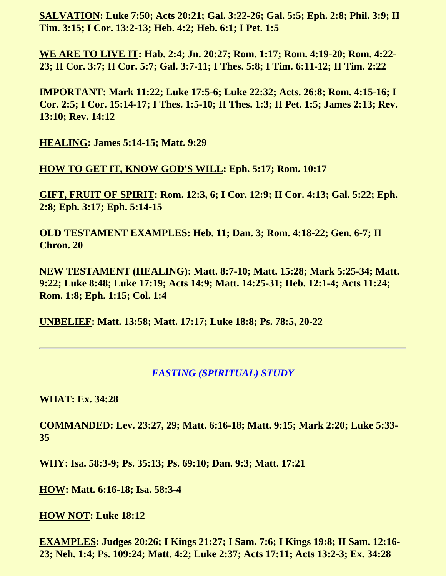**SALVATION: Luke 7:50; Acts 20:21; Gal. 3:22-26; Gal. 5:5; Eph. 2:8; Phil. 3:9; II Tim. 3:15; I Cor. 13:2-13; Heb. 4:2; Heb. 6:1; I Pet. 1:5**

**WE ARE TO LIVE IT: Hab. 2:4; Jn. 20:27; Rom. 1:17; Rom. 4:19-20; Rom. 4:22- 23; II Cor. 3:7; II Cor. 5:7; Gal. 3:7-11; I Thes. 5:8; I Tim. 6:11-12; II Tim. 2:22**

**IMPORTANT: Mark 11:22; Luke 17:5-6; Luke 22:32; Acts. 26:8; Rom. 4:15-16; I Cor. 2:5; I Cor. 15:14-17; I Thes. 1:5-10; II Thes. 1:3; II Pet. 1:5; James 2:13; Rev. 13:10; Rev. 14:12**

**HEALING: James 5:14-15; Matt. 9:29**

**HOW TO GET IT, KNOW GOD'S WILL: Eph. 5:17; Rom. 10:17**

**GIFT, FRUIT OF SPIRIT: Rom. 12:3, 6; I Cor. 12:9; II Cor. 4:13; Gal. 5:22; Eph. 2:8; Eph. 3:17; Eph. 5:14-15**

**OLD TESTAMENT EXAMPLES: Heb. 11; Dan. 3; Rom. 4:18-22; Gen. 6-7; II Chron. 20**

**NEW TESTAMENT (HEALING): Matt. 8:7-10; Matt. 15:28; Mark 5:25-34; Matt. 9:22; Luke 8:48; Luke 17:19; Acts 14:9; Matt. 14:25-31; Heb. 12:1-4; Acts 11:24; Rom. 1:8; Eph. 1:15; Col. 1:4**

**UNBELIEF: Matt. 13:58; Matt. 17:17; Luke 18:8; Ps. 78:5, 20-22**

#### *FASTING (SPIRITUAL) STUDY*

<span id="page-5-0"></span>**WHAT: Ex. 34:28**

**COMMANDED: Lev. 23:27, 29; Matt. 6:16-18; Matt. 9:15; Mark 2:20; Luke 5:33- 35**

**WHY: Isa. 58:3-9; Ps. 35:13; Ps. 69:10; Dan. 9:3; Matt. 17:21**

**HOW: Matt. 6:16-18; Isa. 58:3-4**

**HOW NOT: Luke 18:12**

**EXAMPLES: Judges 20:26; I Kings 21:27; I Sam. 7:6; I Kings 19:8; II Sam. 12:16- 23; Neh. 1:4; Ps. 109:24; Matt. 4:2; Luke 2:37; Acts 17:11; Acts 13:2-3; Ex. 34:28**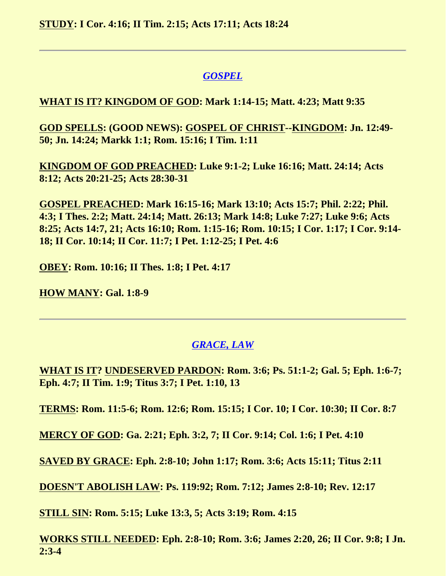**STUDY: I Cor. 4:16; II Tim. 2:15; Acts 17:11; Acts 18:24**

# *GOSPEL*

## <span id="page-6-0"></span>**WHAT IS IT? KINGDOM OF GOD: Mark 1:14-15; Matt. 4:23; Matt 9:35**

**GOD SPELLS: (GOOD NEWS): GOSPEL OF CHRIST--KINGDOM: Jn. 12:49- 50; Jn. 14:24; Markk 1:1; Rom. 15:16; I Tim. 1:11**

**KINGDOM OF GOD PREACHED: Luke 9:1-2; Luke 16:16; Matt. 24:14; Acts 8:12; Acts 20:21-25; Acts 28:30-31**

**GOSPEL PREACHED: Mark 16:15-16; Mark 13:10; Acts 15:7; Phil. 2:22; Phil. 4:3; I Thes. 2:2; Matt. 24:14; Matt. 26:13; Mark 14:8; Luke 7:27; Luke 9:6; Acts 8:25; Acts 14:7, 21; Acts 16:10; Rom. 1:15-16; Rom. 10:15; I Cor. 1:17; I Cor. 9:14- 18; II Cor. 10:14; II Cor. 11:7; I Pet. 1:12-25; I Pet. 4:6**

**OBEY: Rom. 10:16; II Thes. 1:8; I Pet. 4:17**

**HOW MANY: Gal. 1:8-9**

# *GRACE, LAW*

<span id="page-6-1"></span>**WHAT IS IT? UNDESERVED PARDON: Rom. 3:6; Ps. 51:1-2; Gal. 5; Eph. 1:6-7; Eph. 4:7; II Tim. 1:9; Titus 3:7; I Pet. 1:10, 13**

**TERMS: Rom. 11:5-6; Rom. 12:6; Rom. 15:15; I Cor. 10; I Cor. 10:30; II Cor. 8:7**

**MERCY OF GOD: Ga. 2:21; Eph. 3:2, 7; II Cor. 9:14; Col. 1:6; I Pet. 4:10**

**SAVED BY GRACE: Eph. 2:8-10; John 1:17; Rom. 3:6; Acts 15:11; Titus 2:11**

**DOESN'T ABOLISH LAW: Ps. 119:92; Rom. 7:12; James 2:8-10; Rev. 12:17**

**STILL SIN: Rom. 5:15; Luke 13:3, 5; Acts 3:19; Rom. 4:15**

**WORKS STILL NEEDED: Eph. 2:8-10; Rom. 3:6; James 2:20, 26; II Cor. 9:8; I Jn. 2:3-4**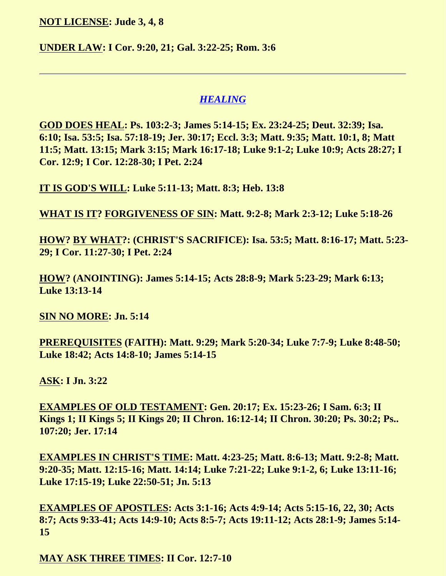**NOT LICENSE: Jude 3, 4, 8**

**UNDER LAW: I Cor. 9:20, 21; Gal. 3:22-25; Rom. 3:6**

#### *HEALING*

<span id="page-7-0"></span>**GOD DOES HEAL: Ps. 103:2-3; James 5:14-15; Ex. 23:24-25; Deut. 32:39; Isa. 6:10; Isa. 53:5; Isa. 57:18-19; Jer. 30:17; Eccl. 3:3; Matt. 9:35; Matt. 10:1, 8; Matt 11:5; Matt. 13:15; Mark 3:15; Mark 16:17-18; Luke 9:1-2; Luke 10:9; Acts 28:27; I Cor. 12:9; I Cor. 12:28-30; I Pet. 2:24**

**IT IS GOD'S WILL: Luke 5:11-13; Matt. 8:3; Heb. 13:8**

**WHAT IS IT? FORGIVENESS OF SIN: Matt. 9:2-8; Mark 2:3-12; Luke 5:18-26**

**HOW? BY WHAT?: (CHRIST'S SACRIFICE): Isa. 53:5; Matt. 8:16-17; Matt. 5:23- 29; I Cor. 11:27-30; I Pet. 2:24**

**HOW? (ANOINTING): James 5:14-15; Acts 28:8-9; Mark 5:23-29; Mark 6:13; Luke 13:13-14**

**SIN NO MORE: Jn. 5:14**

**PREREQUISITES (FAITH): Matt. 9:29; Mark 5:20-34; Luke 7:7-9; Luke 8:48-50; Luke 18:42; Acts 14:8-10; James 5:14-15**

**ASK: I Jn. 3:22**

**EXAMPLES OF OLD TESTAMENT: Gen. 20:17; Ex. 15:23-26; I Sam. 6:3; II Kings 1; II Kings 5; II Kings 20; II Chron. 16:12-14; II Chron. 30:20; Ps. 30:2; Ps.. 107:20; Jer. 17:14**

**EXAMPLES IN CHRIST'S TIME: Matt. 4:23-25; Matt. 8:6-13; Matt. 9:2-8; Matt. 9:20-35; Matt. 12:15-16; Matt. 14:14; Luke 7:21-22; Luke 9:1-2, 6; Luke 13:11-16; Luke 17:15-19; Luke 22:50-51; Jn. 5:13**

**EXAMPLES OF APOSTLES: Acts 3:1-16; Acts 4:9-14; Acts 5:15-16, 22, 30; Acts 8:7; Acts 9:33-41; Acts 14:9-10; Acts 8:5-7; Acts 19:11-12; Acts 28:1-9; James 5:14- 15**

**MAY ASK THREE TIMES: II Cor. 12:7-10**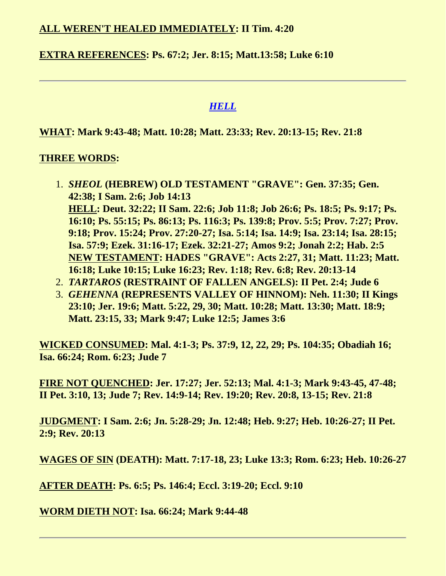#### **ALL WEREN'T HEALED IMMEDIATELY: II Tim. 4:20**

#### **EXTRA REFERENCES: Ps. 67:2; Jer. 8:15; Matt.13:58; Luke 6:10**

#### *HELL*

<span id="page-8-0"></span>**WHAT: Mark 9:43-48; Matt. 10:28; Matt. 23:33; Rev. 20:13-15; Rev. 21:8**

#### **THREE WORDS:**

- 1. *SHEOL* **(HEBREW) OLD TESTAMENT "GRAVE": Gen. 37:35; Gen. 42:38; I Sam. 2:6; Job 14:13 HELL: Deut. 32:22; II Sam. 22:6; Job 11:8; Job 26:6; Ps. 18:5; Ps. 9:17; Ps. 16:10; Ps. 55:15; Ps. 86:13; Ps. 116:3; Ps. 139:8; Prov. 5:5; Prov. 7:27; Prov. 9:18; Prov. 15:24; Prov. 27:20-27; Isa. 5:14; Isa. 14:9; Isa. 23:14; Isa. 28:15; Isa. 57:9; Ezek. 31:16-17; Ezek. 32:21-27; Amos 9:2; Jonah 2:2; Hab. 2:5 NEW TESTAMENT: HADES "GRAVE": Acts 2:27, 31; Matt. 11:23; Matt. 16:18; Luke 10:15; Luke 16:23; Rev. 1:18; Rev. 6:8; Rev. 20:13-14**
- 2. *TARTAROS* **(RESTRAINT OF FALLEN ANGELS): II Pet. 2:4; Jude 6**
- 3. *GEHENNA* **(REPRESENTS VALLEY OF HINNOM): Neh. 11:30; II Kings 23:10; Jer. 19:6; Matt. 5:22, 29, 30; Matt. 10:28; Matt. 13:30; Matt. 18:9; Matt. 23:15, 33; Mark 9:47; Luke 12:5; James 3:6**

**WICKED CONSUMED: Mal. 4:1-3; Ps. 37:9, 12, 22, 29; Ps. 104:35; Obadiah 16; Isa. 66:24; Rom. 6:23; Jude 7**

**FIRE NOT QUENCHED: Jer. 17:27; Jer. 52:13; Mal. 4:1-3; Mark 9:43-45, 47-48; II Pet. 3:10, 13; Jude 7; Rev. 14:9-14; Rev. 19:20; Rev. 20:8, 13-15; Rev. 21:8**

**JUDGMENT: I Sam. 2:6; Jn. 5:28-29; Jn. 12:48; Heb. 9:27; Heb. 10:26-27; II Pet. 2:9; Rev. 20:13**

**WAGES OF SIN (DEATH): Matt. 7:17-18, 23; Luke 13:3; Rom. 6:23; Heb. 10:26-27**

**AFTER DEATH: Ps. 6:5; Ps. 146:4; Eccl. 3:19-20; Eccl. 9:10**

#### <span id="page-8-1"></span>**WORM DIETH NOT: Isa. 66:24; Mark 9:44-48**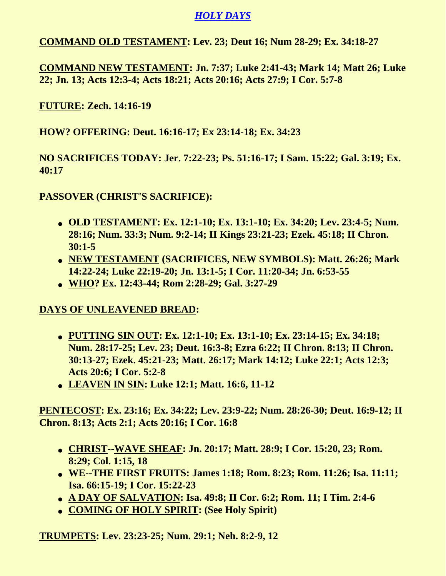# *HOLY DAYS*

**COMMAND OLD TESTAMENT: Lev. 23; Deut 16; Num 28-29; Ex. 34:18-27**

**COMMAND NEW TESTAMENT: Jn. 7:37; Luke 2:41-43; Mark 14; Matt 26; Luke 22; Jn. 13; Acts 12:3-4; Acts 18:21; Acts 20:16; Acts 27:9; I Cor. 5:7-8**

**FUTURE: Zech. 14:16-19**

**HOW? OFFERING: Deut. 16:16-17; Ex 23:14-18; Ex. 34:23**

**NO SACRIFICES TODAY: Jer. 7:22-23; Ps. 51:16-17; I Sam. 15:22; Gal. 3:19; Ex. 40:17**

**PASSOVER (CHRIST'S SACRIFICE):**

- **OLD TESTAMENT: Ex. 12:1-10; Ex. 13:1-10; Ex. 34:20; Lev. 23:4-5; Num. 28:16; Num. 33:3; Num. 9:2-14; II Kings 23:21-23; Ezek. 45:18; II Chron. 30:1-5**
- **NEW TESTAMENT (SACRIFICES, NEW SYMBOLS): Matt. 26:26; Mark 14:22-24; Luke 22:19-20; Jn. 13:1-5; I Cor. 11:20-34; Jn. 6:53-55**
- **WHO? Ex. 12:43-44; Rom 2:28-29; Gal. 3:27-29**

**DAYS OF UNLEAVENED BREAD:**

- **PUTTING SIN OUT: Ex. 12:1-10; Ex. 13:1-10; Ex. 23:14-15; Ex. 34:18; Num. 28:17-25; Lev. 23; Deut. 16:3-8; Ezra 6:22; II Chron. 8:13; II Chron. 30:13-27; Ezek. 45:21-23; Matt. 26:17; Mark 14:12; Luke 22:1; Acts 12:3; Acts 20:6; I Cor. 5:2-8**
- **LEAVEN IN SIN: Luke 12:1; Matt. 16:6, 11-12**

**PENTECOST: Ex. 23:16; Ex. 34:22; Lev. 23:9-22; Num. 28:26-30; Deut. 16:9-12; II Chron. 8:13; Acts 2:1; Acts 20:16; I Cor. 16:8**

- **CHRIST--WAVE SHEAF: Jn. 20:17; Matt. 28:9; I Cor. 15:20, 23; Rom. 8:29; Col. 1:15, 18**
- **WE--THE FIRST FRUITS: James 1:18; Rom. 8:23; Rom. 11:26; Isa. 11:11; Isa. 66:15-19; I Cor. 15:22-23**
- **A DAY OF SALVATION: Isa. 49:8; II Cor. 6:2; Rom. 11; I Tim. 2:4-6**
- **COMING OF HOLY SPIRIT: (See Holy Spirit)**

**TRUMPETS: Lev. 23:23-25; Num. 29:1; Neh. 8:2-9, 12**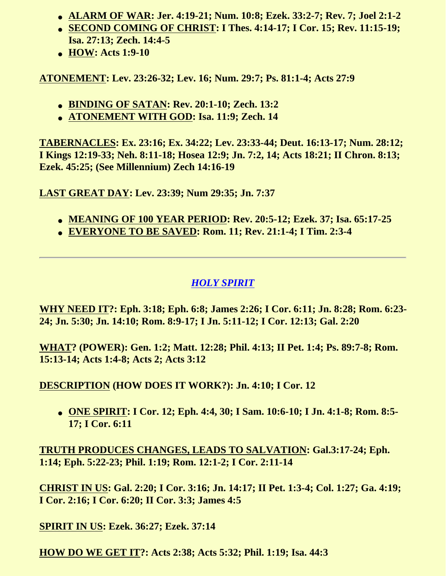- **ALARM OF WAR: Jer. 4:19-21; Num. 10:8; Ezek. 33:2-7; Rev. 7; Joel 2:1-2**
- **SECOND COMING OF CHRIST: I Thes. 4:14-17; I Cor. 15; Rev. 11:15-19; Isa. 27:13; Zech. 14:4-5**
- **HOW: Acts 1:9-10**

**ATONEMENT: Lev. 23:26-32; Lev. 16; Num. 29:7; Ps. 81:1-4; Acts 27:9**

- **BINDING OF SATAN: Rev. 20:1-10; Zech. 13:2**
- **ATONEMENT WITH GOD: Isa. 11:9; Zech. 14**

**TABERNACLES: Ex. 23:16; Ex. 34:22; Lev. 23:33-44; Deut. 16:13-17; Num. 28:12; I Kings 12:19-33; Neh. 8:11-18; Hosea 12:9; Jn. 7:2, 14; Acts 18:21; II Chron. 8:13; Ezek. 45:25; (See Millennium) Zech 14:16-19**

**LAST GREAT DAY: Lev. 23:39; Num 29:35; Jn. 7:37**

- **MEANING OF 100 YEAR PERIOD: Rev. 20:5-12; Ezek. 37; Isa. 65:17-25**
- **EVERYONE TO BE SAVED: Rom. 11; Rev. 21:1-4; I Tim. 2:3-4**

# *HOLY SPIRIT*

<span id="page-10-0"></span>**WHY NEED IT?: Eph. 3:18; Eph. 6:8; James 2:26; I Cor. 6:11; Jn. 8:28; Rom. 6:23- 24; Jn. 5:30; Jn. 14:10; Rom. 8:9-17; I Jn. 5:11-12; I Cor. 12:13; Gal. 2:20**

**WHAT? (POWER): Gen. 1:2; Matt. 12:28; Phil. 4:13; II Pet. 1:4; Ps. 89:7-8; Rom. 15:13-14; Acts 1:4-8; Acts 2; Acts 3:12**

**DESCRIPTION (HOW DOES IT WORK?): Jn. 4:10; I Cor. 12**

● **ONE SPIRIT: I Cor. 12; Eph. 4:4, 30; I Sam. 10:6-10; I Jn. 4:1-8; Rom. 8:5- 17; I Cor. 6:11**

**TRUTH PRODUCES CHANGES, LEADS TO SALVATION: Gal.3:17-24; Eph. 1:14; Eph. 5:22-23; Phil. 1:19; Rom. 12:1-2; I Cor. 2:11-14**

**CHRIST IN US: Gal. 2:20; I Cor. 3:16; Jn. 14:17; II Pet. 1:3-4; Col. 1:27; Ga. 4:19; I Cor. 2:16; I Cor. 6:20; II Cor. 3:3; James 4:5**

**SPIRIT IN US: Ezek. 36:27; Ezek. 37:14**

**HOW DO WE GET IT?: Acts 2:38; Acts 5:32; Phil. 1:19; Isa. 44:3**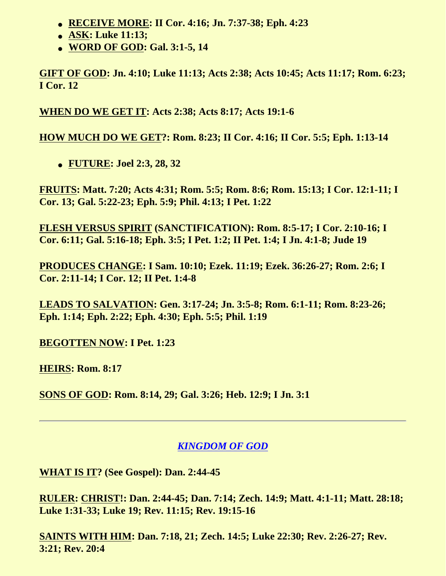- **RECEIVE MORE: II Cor. 4:16; Jn. 7:37-38; Eph. 4:23**
- **ASK: Luke 11:13;**
- **WORD OF GOD: Gal. 3:1-5, 14**

**GIFT OF GOD: Jn. 4:10; Luke 11:13; Acts 2:38; Acts 10:45; Acts 11:17; Rom. 6:23; I Cor. 12**

**WHEN DO WE GET IT: Acts 2:38; Acts 8:17; Acts 19:1-6**

**HOW MUCH DO WE GET?: Rom. 8:23; II Cor. 4:16; II Cor. 5:5; Eph. 1:13-14**

● **FUTURE: Joel 2:3, 28, 32**

**FRUITS: Matt. 7:20; Acts 4:31; Rom. 5:5; Rom. 8:6; Rom. 15:13; I Cor. 12:1-11; I Cor. 13; Gal. 5:22-23; Eph. 5:9; Phil. 4:13; I Pet. 1:22**

**FLESH VERSUS SPIRIT (SANCTIFICATION): Rom. 8:5-17; I Cor. 2:10-16; I Cor. 6:11; Gal. 5:16-18; Eph. 3:5; I Pet. 1:2; II Pet. 1:4; I Jn. 4:1-8; Jude 19**

**PRODUCES CHANGE: I Sam. 10:10; Ezek. 11:19; Ezek. 36:26-27; Rom. 2:6; I Cor. 2:11-14; I Cor. 12; II Pet. 1:4-8**

**LEADS TO SALVATION: Gen. 3:17-24; Jn. 3:5-8; Rom. 6:1-11; Rom. 8:23-26; Eph. 1:14; Eph. 2:22; Eph. 4:30; Eph. 5:5; Phil. 1:19**

**BEGOTTEN NOW: I Pet. 1:23**

**HEIRS: Rom. 8:17**

**SONS OF GOD: Rom. 8:14, 29; Gal. 3:26; Heb. 12:9; I Jn. 3:1**

# *KINGDOM OF GOD*

<span id="page-11-0"></span>**WHAT IS IT? (See Gospel): Dan. 2:44-45**

**RULER: CHRIST!: Dan. 2:44-45; Dan. 7:14; Zech. 14:9; Matt. 4:1-11; Matt. 28:18; Luke 1:31-33; Luke 19; Rev. 11:15; Rev. 19:15-16**

**SAINTS WITH HIM: Dan. 7:18, 21; Zech. 14:5; Luke 22:30; Rev. 2:26-27; Rev. 3:21; Rev. 20:4**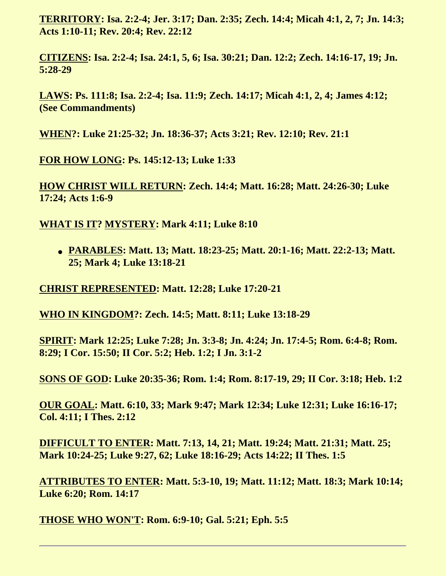**TERRITORY: Isa. 2:2-4; Jer. 3:17; Dan. 2:35; Zech. 14:4; Micah 4:1, 2, 7; Jn. 14:3; Acts 1:10-11; Rev. 20:4; Rev. 22:12**

**CITIZENS: Isa. 2:2-4; Isa. 24:1, 5, 6; Isa. 30:21; Dan. 12:2; Zech. 14:16-17, 19; Jn. 5:28-29**

**LAWS: Ps. 111:8; Isa. 2:2-4; Isa. 11:9; Zech. 14:17; Micah 4:1, 2, 4; James 4:12; (See Commandments)**

**WHEN?: Luke 21:25-32; Jn. 18:36-37; Acts 3:21; Rev. 12:10; Rev. 21:1**

**FOR HOW LONG: Ps. 145:12-13; Luke 1:33**

**HOW CHRIST WILL RETURN: Zech. 14:4; Matt. 16:28; Matt. 24:26-30; Luke 17:24; Acts 1:6-9**

**WHAT IS IT? MYSTERY: Mark 4:11; Luke 8:10**

● **PARABLES: Matt. 13; Matt. 18:23-25; Matt. 20:1-16; Matt. 22:2-13; Matt. 25; Mark 4; Luke 13:18-21**

**CHRIST REPRESENTED: Matt. 12:28; Luke 17:20-21**

**WHO IN KINGDOM?: Zech. 14:5; Matt. 8:11; Luke 13:18-29**

**SPIRIT: Mark 12:25; Luke 7:28; Jn. 3:3-8; Jn. 4:24; Jn. 17:4-5; Rom. 6:4-8; Rom. 8:29; I Cor. 15:50; II Cor. 5:2; Heb. 1:2; I Jn. 3:1-2**

**SONS OF GOD: Luke 20:35-36; Rom. 1:4; Rom. 8:17-19, 29; II Cor. 3:18; Heb. 1:2**

**OUR GOAL: Matt. 6:10, 33; Mark 9:47; Mark 12:34; Luke 12:31; Luke 16:16-17; Col. 4:11; I Thes. 2:12**

**DIFFICULT TO ENTER: Matt. 7:13, 14, 21; Matt. 19:24; Matt. 21:31; Matt. 25; Mark 10:24-25; Luke 9:27, 62; Luke 18:16-29; Acts 14:22; II Thes. 1:5**

**ATTRIBUTES TO ENTER: Matt. 5:3-10, 19; Matt. 11:12; Matt. 18:3; Mark 10:14; Luke 6:20; Rom. 14:17**

<span id="page-12-0"></span>**THOSE WHO WON'T: Rom. 6:9-10; Gal. 5:21; Eph. 5:5**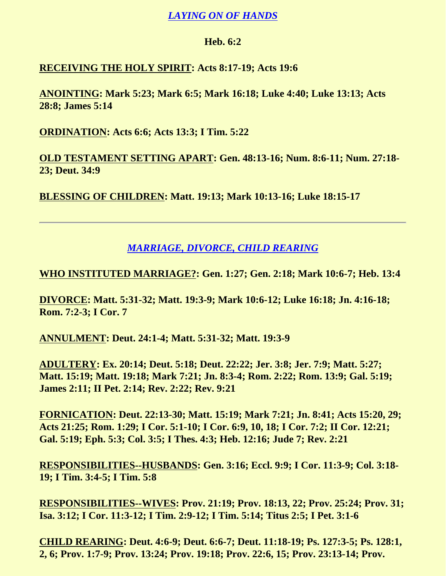### *LAYING ON OF HANDS*

#### **Heb. 6:2**

## **RECEIVING THE HOLY SPIRIT: Acts 8:17-19; Acts 19:6**

**ANOINTING: Mark 5:23; Mark 6:5; Mark 16:18; Luke 4:40; Luke 13:13; Acts 28:8; James 5:14**

**ORDINATION: Acts 6:6; Acts 13:3; I Tim. 5:22**

**OLD TESTAMENT SETTING APART: Gen. 48:13-16; Num. 8:6-11; Num. 27:18- 23; Deut. 34:9**

**BLESSING OF CHILDREN: Matt. 19:13; Mark 10:13-16; Luke 18:15-17**

## *MARRIAGE, DIVORCE, CHILD REARING*

<span id="page-13-0"></span>**WHO INSTITUTED MARRIAGE?: Gen. 1:27; Gen. 2:18; Mark 10:6-7; Heb. 13:4**

**DIVORCE: Matt. 5:31-32; Matt. 19:3-9; Mark 10:6-12; Luke 16:18; Jn. 4:16-18; Rom. 7:2-3; I Cor. 7**

**ANNULMENT: Deut. 24:1-4; Matt. 5:31-32; Matt. 19:3-9**

**ADULTERY: Ex. 20:14; Deut. 5:18; Deut. 22:22; Jer. 3:8; Jer. 7:9; Matt. 5:27; Matt. 15:19; Matt. 19:18; Mark 7:21; Jn. 8:3-4; Rom. 2:22; Rom. 13:9; Gal. 5:19; James 2:11; II Pet. 2:14; Rev. 2:22; Rev. 9:21**

**FORNICATION: Deut. 22:13-30; Matt. 15:19; Mark 7:21; Jn. 8:41; Acts 15:20, 29; Acts 21:25; Rom. 1:29; I Cor. 5:1-10; I Cor. 6:9, 10, 18; I Cor. 7:2; II Cor. 12:21; Gal. 5:19; Eph. 5:3; Col. 3:5; I Thes. 4:3; Heb. 12:16; Jude 7; Rev. 2:21**

**RESPONSIBILITIES--HUSBANDS: Gen. 3:16; Eccl. 9:9; I Cor. 11:3-9; Col. 3:18- 19; I Tim. 3:4-5; I Tim. 5:8**

**RESPONSIBILITIES--WIVES: Prov. 21:19; Prov. 18:13, 22; Prov. 25:24; Prov. 31; Isa. 3:12; I Cor. 11:3-12; I Tim. 2:9-12; I Tim. 5:14; Titus 2:5; I Pet. 3:1-6**

**CHILD REARING: Deut. 4:6-9; Deut. 6:6-7; Deut. 11:18-19; Ps. 127:3-5; Ps. 128:1, 2, 6; Prov. 1:7-9; Prov. 13:24; Prov. 19:18; Prov. 22:6, 15; Prov. 23:13-14; Prov.**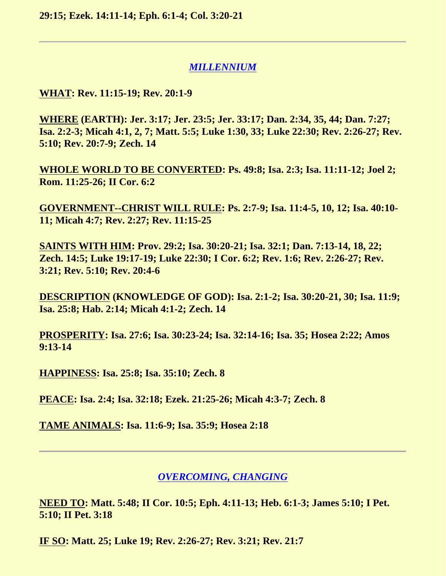**29:15; Ezek. 14:11-14; Eph. 6:1-4; Col. 3:20-21**

#### *MILLENNIUM*

<span id="page-14-0"></span>**WHAT: Rev. 11:15-19; Rev. 20:1-9**

**WHERE (EARTH): Jer. 3:17; Jer. 23:5; Jer. 33:17; Dan. 2:34, 35, 44; Dan. 7:27; Isa. 2:2-3; Micah 4:1, 2, 7; Matt. 5:5; Luke 1:30, 33; Luke 22:30; Rev. 2:26-27; Rev. 5:10; Rev. 20:7-9; Zech. 14**

**WHOLE WORLD TO BE CONVERTED: Ps. 49:8; Isa. 2:3; Isa. 11:11-12; Joel 2; Rom. 11:25-26; II Cor. 6:2**

**GOVERNMENT--CHRIST WILL RULE: Ps. 2:7-9; Isa. 11:4-5, 10, 12; Isa. 40:10- 11; Micah 4:7; Rev. 2:27; Rev. 11:15-25**

**SAINTS WITH HIM: Prov. 29:2; Isa. 30:20-21; Isa. 32:1; Dan. 7:13-14, 18, 22; Zech. 14:5; Luke 19:17-19; Luke 22:30; I Cor. 6:2; Rev. 1:6; Rev. 2:26-27; Rev. 3:21; Rev. 5:10; Rev. 20:4-6**

**DESCRIPTION (KNOWLEDGE OF GOD): Isa. 2:1-2; Isa. 30:20-21, 30; Isa. 11:9; Isa. 25:8; Hab. 2:14; Micah 4:1-2; Zech. 14**

**PROSPERITY: Isa. 27:6; Isa. 30:23-24; Isa. 32:14-16; Isa. 35; Hosea 2:22; Amos 9:13-14**

**HAPPINESS: Isa. 25:8; Isa. 35:10; Zech. 8**

**PEACE: Isa. 2:4; Isa. 32:18; Ezek. 21:25-26; Micah 4:3-7; Zech. 8**

**TAME ANIMALS: Isa. 11:6-9; Isa. 35:9; Hosea 2:18**

#### *OVERCOMING, CHANGING*

<span id="page-14-1"></span>**NEED TO: Matt. 5:48; II Cor. 10:5; Eph. 4:11-13; Heb. 6:1-3; James 5:10; I Pet. 5:10; II Pet. 3:18**

**IF SO: Matt. 25; Luke 19; Rev. 2:26-27; Rev. 3:21; Rev. 21:7**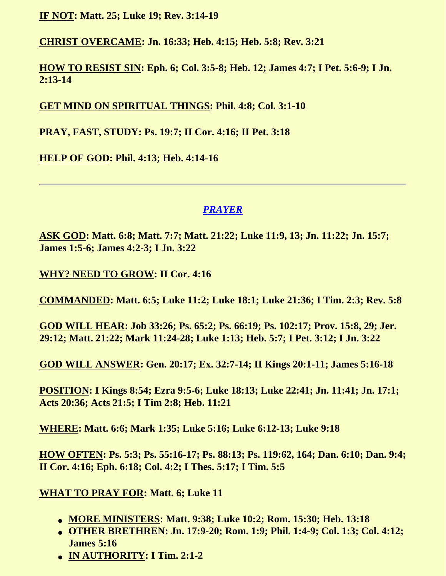**IF NOT: Matt. 25; Luke 19; Rev. 3:14-19**

**CHRIST OVERCAME: Jn. 16:33; Heb. 4:15; Heb. 5:8; Rev. 3:21**

**HOW TO RESIST SIN: Eph. 6; Col. 3:5-8; Heb. 12; James 4:7; I Pet. 5:6-9; I Jn. 2:13-14**

**GET MIND ON SPIRITUAL THINGS: Phil. 4:8; Col. 3:1-10**

**PRAY, FAST, STUDY: Ps. 19:7; II Cor. 4:16; II Pet. 3:18**

**HELP OF GOD: Phil. 4:13; Heb. 4:14-16**

## *PRAYER*

<span id="page-15-0"></span>**ASK GOD: Matt. 6:8; Matt. 7:7; Matt. 21:22; Luke 11:9, 13; Jn. 11:22; Jn. 15:7; James 1:5-6; James 4:2-3; I Jn. 3:22**

**WHY? NEED TO GROW: II Cor. 4:16**

**COMMANDED: Matt. 6:5; Luke 11:2; Luke 18:1; Luke 21:36; I Tim. 2:3; Rev. 5:8**

**GOD WILL HEAR: Job 33:26; Ps. 65:2; Ps. 66:19; Ps. 102:17; Prov. 15:8, 29; Jer. 29:12; Matt. 21:22; Mark 11:24-28; Luke 1:13; Heb. 5:7; I Pet. 3:12; I Jn. 3:22**

**GOD WILL ANSWER: Gen. 20:17; Ex. 32:7-14; II Kings 20:1-11; James 5:16-18**

**POSITION: I Kings 8:54; Ezra 9:5-6; Luke 18:13; Luke 22:41; Jn. 11:41; Jn. 17:1; Acts 20:36; Acts 21:5; I Tim 2:8; Heb. 11:21**

**WHERE: Matt. 6:6; Mark 1:35; Luke 5:16; Luke 6:12-13; Luke 9:18**

**HOW OFTEN: Ps. 5:3; Ps. 55:16-17; Ps. 88:13; Ps. 119:62, 164; Dan. 6:10; Dan. 9:4; II Cor. 4:16; Eph. 6:18; Col. 4:2; I Thes. 5:17; I Tim. 5:5**

### **WHAT TO PRAY FOR: Matt. 6; Luke 11**

- **MORE MINISTERS: Matt. 9:38; Luke 10:2; Rom. 15:30; Heb. 13:18**
- **OTHER BRETHREN: Jn. 17:9-20; Rom. 1:9; Phil. 1:4-9; Col. 1:3; Col. 4:12; James 5:16**
- **IN AUTHORITY: I Tim. 2:1-2**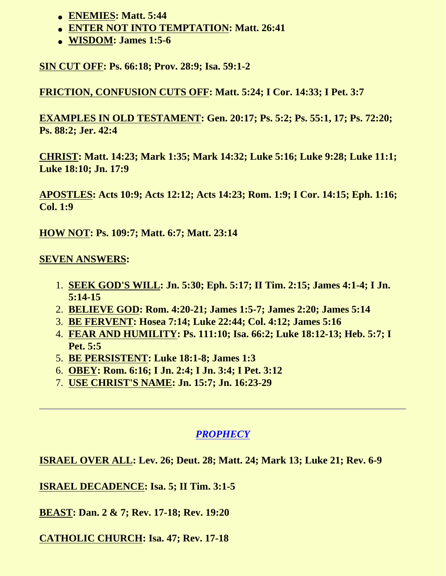- **ENEMIES: Matt. 5:44**
- **ENTER NOT INTO TEMPTATION: Matt. 26:41**
- **WISDOM: James 1:5-6**

**SIN CUT OFF: Ps. 66:18; Prov. 28:9; Isa. 59:1-2**

**FRICTION, CONFUSION CUTS OFF: Matt. 5:24; I Cor. 14:33; I Pet. 3:7**

**EXAMPLES IN OLD TESTAMENT: Gen. 20:17; Ps. 5:2; Ps. 55:1, 17; Ps. 72:20; Ps. 88:2; Jer. 42:4**

**CHRIST: Matt. 14:23; Mark 1:35; Mark 14:32; Luke 5:16; Luke 9:28; Luke 11:1; Luke 18:10; Jn. 17:9**

**APOSTLES: Acts 10:9; Acts 12:12; Acts 14:23; Rom. 1:9; I Cor. 14:15; Eph. 1:16; Col. 1:9**

**HOW NOT: Ps. 109:7; Matt. 6:7; Matt. 23:14**

### **SEVEN ANSWERS:**

- 1. **SEEK GOD'S WILL: Jn. 5:30; Eph. 5:17; II Tim. 2:15; James 4:1-4; I Jn. 5:14-15**
- 2. **BELIEVE GOD: Rom. 4:20-21; James 1:5-7; James 2:20; James 5:14**
- 3. **BE FERVENT: Hosea 7:14; Luke 22:44; Col. 4:12; James 5:16**
- 4. **FEAR AND HUMILITY: Ps. 111:10; Isa. 66:2; Luke 18:12-13; Heb. 5:7; I Pet. 5:5**
- 5. **BE PERSISTENT: Luke 18:1-8; James 1:3**
- 6. **OBEY: Rom. 6:16; I Jn. 2:4; I Jn. 3:4; I Pet. 3:12**
- 7. **USE CHRIST'S NAME: Jn. 15:7; Jn. 16:23-29**

# *PROPHECY*

<span id="page-16-0"></span>**ISRAEL OVER ALL: Lev. 26; Deut. 28; Matt. 24; Mark 13; Luke 21; Rev. 6-9**

**ISRAEL DECADENCE: Isa. 5; II Tim. 3:1-5**

**BEAST: Dan. 2 & 7; Rev. 17-18; Rev. 19:20**

**CATHOLIC CHURCH: Isa. 47; Rev. 17-18**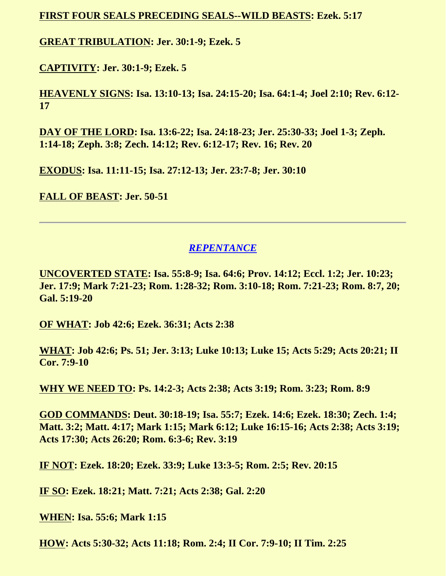#### **FIRST FOUR SEALS PRECEDING SEALS--WILD BEASTS: Ezek. 5:17**

**GREAT TRIBULATION: Jer. 30:1-9; Ezek. 5**

**CAPTIVITY: Jer. 30:1-9; Ezek. 5**

**HEAVENLY SIGNS: Isa. 13:10-13; Isa. 24:15-20; Isa. 64:1-4; Joel 2:10; Rev. 6:12- 17**

**DAY OF THE LORD: Isa. 13:6-22; Isa. 24:18-23; Jer. 25:30-33; Joel 1-3; Zeph. 1:14-18; Zeph. 3:8; Zech. 14:12; Rev. 6:12-17; Rev. 16; Rev. 20**

**EXODUS: Isa. 11:11-15; Isa. 27:12-13; Jer. 23:7-8; Jer. 30:10**

**FALL OF BEAST: Jer. 50-51**

### *REPENTANCE*

<span id="page-17-0"></span>**UNCOVERTED STATE: Isa. 55:8-9; Isa. 64:6; Prov. 14:12; Eccl. 1:2; Jer. 10:23; Jer. 17:9; Mark 7:21-23; Rom. 1:28-32; Rom. 3:10-18; Rom. 7:21-23; Rom. 8:7, 20; Gal. 5:19-20**

**OF WHAT: Job 42:6; Ezek. 36:31; Acts 2:38**

**WHAT: Job 42:6; Ps. 51; Jer. 3:13; Luke 10:13; Luke 15; Acts 5:29; Acts 20:21; II Cor. 7:9-10**

**WHY WE NEED TO: Ps. 14:2-3; Acts 2:38; Acts 3:19; Rom. 3:23; Rom. 8:9**

**GOD COMMANDS: Deut. 30:18-19; Isa. 55:7; Ezek. 14:6; Ezek. 18:30; Zech. 1:4; Matt. 3:2; Matt. 4:17; Mark 1:15; Mark 6:12; Luke 16:15-16; Acts 2:38; Acts 3:19; Acts 17:30; Acts 26:20; Rom. 6:3-6; Rev. 3:19**

**IF NOT: Ezek. 18:20; Ezek. 33:9; Luke 13:3-5; Rom. 2:5; Rev. 20:15**

**IF SO: Ezek. 18:21; Matt. 7:21; Acts 2:38; Gal. 2:20**

**WHEN: Isa. 55:6; Mark 1:15**

**HOW: Acts 5:30-32; Acts 11:18; Rom. 2:4; II Cor. 7:9-10; II Tim. 2:25**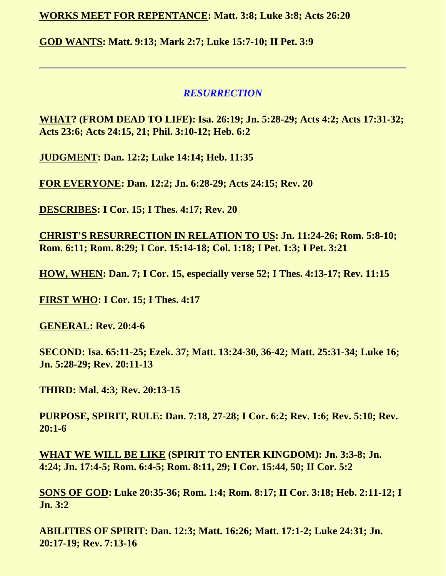**WORKS MEET FOR REPENTANCE: Matt. 3:8; Luke 3:8; Acts 26:20**

**GOD WANTS: Matt. 9:13; Mark 2:7; Luke 15:7-10; II Pet. 3:9**

#### *RESURRECTION*

<span id="page-18-0"></span>**WHAT? (FROM DEAD TO LIFE): Isa. 26:19; Jn. 5:28-29; Acts 4:2; Acts 17:31-32; Acts 23:6; Acts 24:15, 21; Phil. 3:10-12; Heb. 6:2**

**JUDGMENT: Dan. 12:2; Luke 14:14; Heb. 11:35**

**FOR EVERYONE: Dan. 12:2; Jn. 6:28-29; Acts 24:15; Rev. 20**

**DESCRIBES: I Cor. 15; I Thes. 4:17; Rev. 20**

**CHRIST'S RESURRECTION IN RELATION TO US: Jn. 11:24-26; Rom. 5:8-10; Rom. 6:11; Rom. 8:29; I Cor. 15:14-18; Col. 1:18; I Pet. 1:3; I Pet. 3:21**

**HOW, WHEN: Dan. 7; I Cor. 15, especially verse 52; I Thes. 4:13-17; Rev. 11:15**

**FIRST WHO: I Cor. 15; I Thes. 4:17**

**GENERAL: Rev. 20:4-6**

**SECOND: Isa. 65:11-25; Ezek. 37; Matt. 13:24-30, 36-42; Matt. 25:31-34; Luke 16; Jn. 5:28-29; Rev. 20:11-13**

**THIRD: Mal. 4:3; Rev. 20:13-15**

**PURPOSE, SPIRIT, RULE: Dan. 7:18, 27-28; I Cor. 6:2; Rev. 1:6; Rev. 5:10; Rev. 20:1-6**

**WHAT WE WILL BE LIKE (SPIRIT TO ENTER KINGDOM): Jn. 3:3-8; Jn. 4:24; Jn. 17:4-5; Rom. 6:4-5; Rom. 8:11, 29; I Cor. 15:44, 50; II Cor. 5:2**

**SONS OF GOD: Luke 20:35-36; Rom. 1:4; Rom. 8:17; II Cor. 3:18; Heb. 2:11-12; I Jn. 3:2**

**ABILITIES OF SPIRIT: Dan. 12:3; Matt. 16:26; Matt. 17:1-2; Luke 24:31; Jn. 20:17-19; Rev. 7:13-16**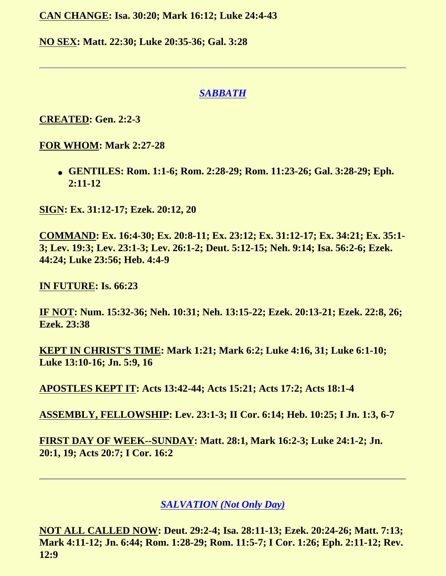**CAN CHANGE: Isa. 30:20; Mark 16:12; Luke 24:4-43**

**NO SEX: Matt. 22:30; Luke 20:35-36; Gal. 3:28**

### *SABBATH*

## <span id="page-19-0"></span>**CREATED: Gen. 2:2-3**

**FOR WHOM: Mark 2:27-28**

● **GENTILES: Rom. 1:1-6; Rom. 2:28-29; Rom. 11:23-26; Gal. 3:28-29; Eph. 2:11-12**

**SIGN: Ex. 31:12-17; Ezek. 20:12, 20**

**COMMAND: Ex. 16:4-30; Ex. 20:8-11; Ex. 23:12; Ex. 31:12-17; Ex. 34:21; Ex. 35:1- 3; Lev. 19:3; Lev. 23:1-3; Lev. 26:1-2; Deut. 5:12-15; Neh. 9:14; Isa. 56:2-6; Ezek. 44:24; Luke 23:56; Heb. 4:4-9**

**IN FUTURE: Is. 66:23**

**IF NOT: Num. 15:32-36; Neh. 10:31; Neh. 13:15-22; Ezek. 20:13-21; Ezek. 22:8, 26; Ezek. 23:38**

**KEPT IN CHRIST'S TIME: Mark 1:21; Mark 6:2; Luke 4:16, 31; Luke 6:1-10; Luke 13:10-16; Jn. 5:9, 16**

**APOSTLES KEPT IT: Acts 13:42-44; Acts 15:21; Acts 17:2; Acts 18:1-4**

**ASSEMBLY, FELLOWSHIP: Lev. 23:1-3; II Cor. 6:14; Heb. 10:25; I Jn. 1:3, 6-7**

**FIRST DAY OF WEEK--SUNDAY: Matt. 28:1, Mark 16:2-3; Luke 24:1-2; Jn. 20:1, 19; Acts 20:7; I Cor. 16:2**

*SALVATION (Not Only Day)*

<span id="page-19-1"></span>**NOT ALL CALLED NOW: Deut. 29:2-4; Isa. 28:11-13; Ezek. 20:24-26; Matt. 7:13; Mark 4:11-12; Jn. 6:44; Rom. 1:28-29; Rom. 11:5-7; I Cor. 1:26; Eph. 2:11-12; Rev. 12:9**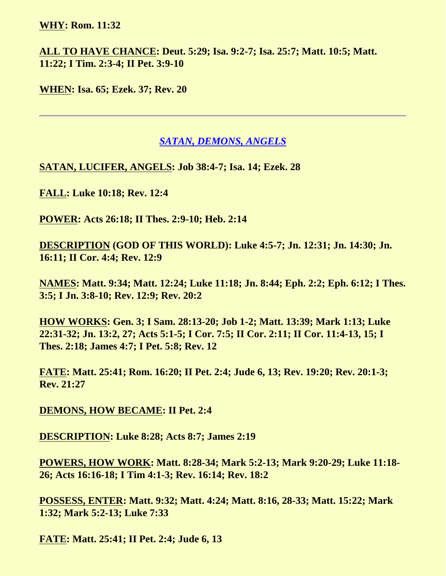#### **WHY: Rom. 11:32**

**ALL TO HAVE CHANCE: Deut. 5:29; Isa. 9:2-7; Isa. 25:7; Matt. 10:5; Matt. 11:22; I Tim. 2:3-4; II Pet. 3:9-10**

**WHEN: Isa. 65; Ezek. 37; Rev. 20**

#### *SATAN, DEMONS, ANGELS*

<span id="page-20-0"></span>**SATAN, LUCIFER, ANGELS: Job 38:4-7; Isa. 14; Ezek. 28**

**FALL: Luke 10:18; Rev. 12:4**

**POWER: Acts 26:18; II Thes. 2:9-10; Heb. 2:14**

**DESCRIPTION (GOD OF THIS WORLD): Luke 4:5-7; Jn. 12:31; Jn. 14:30; Jn. 16:11; II Cor. 4:4; Rev. 12:9**

**NAMES: Matt. 9:34; Matt. 12:24; Luke 11:18; Jn. 8:44; Eph. 2:2; Eph. 6:12; I Thes. 3:5; I Jn. 3:8-10; Rev. 12:9; Rev. 20:2**

**HOW WORKS: Gen. 3; I Sam. 28:13-20; Job 1-2; Matt. 13:39; Mark 1:13; Luke 22:31-32; Jn. 13:2, 27; Acts 5:1-5; I Cor. 7:5; II Cor. 2:11; II Cor. 11:4-13, 15; I Thes. 2:18; James 4:7; I Pet. 5:8; Rev. 12**

**FATE: Matt. 25:41; Rom. 16:20; II Pet. 2:4; Jude 6, 13; Rev. 19:20; Rev. 20:1-3; Rev. 21:27**

**DEMONS, HOW BECAME: II Pet. 2:4**

**DESCRIPTION: Luke 8:28; Acts 8:7; James 2:19**

**POWERS, HOW WORK: Matt. 8:28-34; Mark 5:2-13; Mark 9:20-29; Luke 11:18- 26; Acts 16:16-18; I Tim 4:1-3; Rev. 16:14; Rev. 18:2**

**POSSESS, ENTER: Matt. 9:32; Matt. 4:24; Matt. 8:16, 28-33; Matt. 15:22; Mark 1:32; Mark 5:2-13; Luke 7:33**

**FATE: Matt. 25:41; II Pet. 2:4; Jude 6, 13**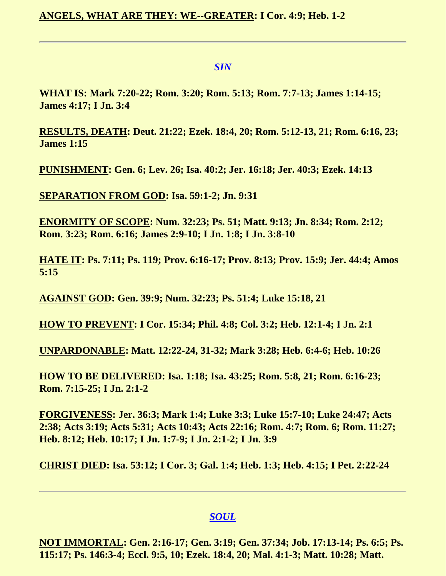#### *SIN*

<span id="page-21-0"></span>**WHAT IS: Mark 7:20-22; Rom. 3:20; Rom. 5:13; Rom. 7:7-13; James 1:14-15; James 4:17; I Jn. 3:4**

**RESULTS, DEATH: Deut. 21:22; Ezek. 18:4, 20; Rom. 5:12-13, 21; Rom. 6:16, 23; James 1:15**

**PUNISHMENT: Gen. 6; Lev. 26; Isa. 40:2; Jer. 16:18; Jer. 40:3; Ezek. 14:13**

**SEPARATION FROM GOD: Isa. 59:1-2; Jn. 9:31**

**ENORMITY OF SCOPE: Num. 32:23; Ps. 51; Matt. 9:13; Jn. 8:34; Rom. 2:12; Rom. 3:23; Rom. 6:16; James 2:9-10; I Jn. 1:8; I Jn. 3:8-10**

**HATE IT: Ps. 7:11; Ps. 119; Prov. 6:16-17; Prov. 8:13; Prov. 15:9; Jer. 44:4; Amos 5:15**

**AGAINST GOD: Gen. 39:9; Num. 32:23; Ps. 51:4; Luke 15:18, 21**

**HOW TO PREVENT: I Cor. 15:34; Phil. 4:8; Col. 3:2; Heb. 12:1-4; I Jn. 2:1**

**UNPARDONABLE: Matt. 12:22-24, 31-32; Mark 3:28; Heb. 6:4-6; Heb. 10:26**

**HOW TO BE DELIVERED: Isa. 1:18; Isa. 43:25; Rom. 5:8, 21; Rom. 6:16-23; Rom. 7:15-25; I Jn. 2:1-2**

**FORGIVENESS: Jer. 36:3; Mark 1:4; Luke 3:3; Luke 15:7-10; Luke 24:47; Acts 2:38; Acts 3:19; Acts 5:31; Acts 10:43; Acts 22:16; Rom. 4:7; Rom. 6; Rom. 11:27; Heb. 8:12; Heb. 10:17; I Jn. 1:7-9; I Jn. 2:1-2; I Jn. 3:9**

**CHRIST DIED: Isa. 53:12; I Cor. 3; Gal. 1:4; Heb. 1:3; Heb. 4:15; I Pet. 2:22-24**

#### *SOUL*

<span id="page-21-1"></span>**NOT IMMORTAL: Gen. 2:16-17; Gen. 3:19; Gen. 37:34; Job. 17:13-14; Ps. 6:5; Ps. 115:17; Ps. 146:3-4; Eccl. 9:5, 10; Ezek. 18:4, 20; Mal. 4:1-3; Matt. 10:28; Matt.**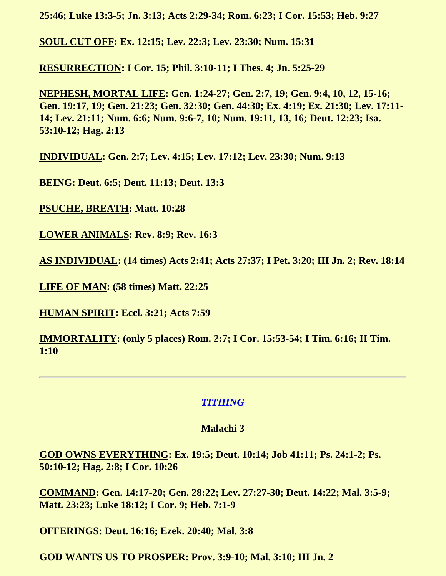**25:46; Luke 13:3-5; Jn. 3:13; Acts 2:29-34; Rom. 6:23; I Cor. 15:53; Heb. 9:27**

**SOUL CUT OFF: Ex. 12:15; Lev. 22:3; Lev. 23:30; Num. 15:31**

**RESURRECTION: I Cor. 15; Phil. 3:10-11; I Thes. 4; Jn. 5:25-29**

**NEPHESH, MORTAL LIFE: Gen. 1:24-27; Gen. 2:7, 19; Gen. 9:4, 10, 12, 15-16; Gen. 19:17, 19; Gen. 21:23; Gen. 32:30; Gen. 44:30; Ex. 4:19; Ex. 21:30; Lev. 17:11- 14; Lev. 21:11; Num. 6:6; Num. 9:6-7, 10; Num. 19:11, 13, 16; Deut. 12:23; Isa. 53:10-12; Hag. 2:13**

**INDIVIDUAL: Gen. 2:7; Lev. 4:15; Lev. 17:12; Lev. 23:30; Num. 9:13**

**BEING: Deut. 6:5; Deut. 11:13; Deut. 13:3**

**PSUCHE, BREATH: Matt. 10:28**

**LOWER ANIMALS: Rev. 8:9; Rev. 16:3**

**AS INDIVIDUAL: (14 times) Acts 2:41; Acts 27:37; I Pet. 3:20; III Jn. 2; Rev. 18:14**

**LIFE OF MAN: (58 times) Matt. 22:25**

**HUMAN SPIRIT: Eccl. 3:21; Acts 7:59**

**IMMORTALITY: (only 5 places) Rom. 2:7; I Cor. 15:53-54; I Tim. 6:16; II Tim. 1:10**

#### *TITHING*

#### **Malachi 3**

<span id="page-22-0"></span>**GOD OWNS EVERYTHING: Ex. 19:5; Deut. 10:14; Job 41:11; Ps. 24:1-2; Ps. 50:10-12; Hag. 2:8; I Cor. 10:26**

**COMMAND: Gen. 14:17-20; Gen. 28:22; Lev. 27:27-30; Deut. 14:22; Mal. 3:5-9; Matt. 23:23; Luke 18:12; I Cor. 9; Heb. 7:1-9**

**OFFERINGS: Deut. 16:16; Ezek. 20:40; Mal. 3:8**

**GOD WANTS US TO PROSPER: Prov. 3:9-10; Mal. 3:10; III Jn. 2**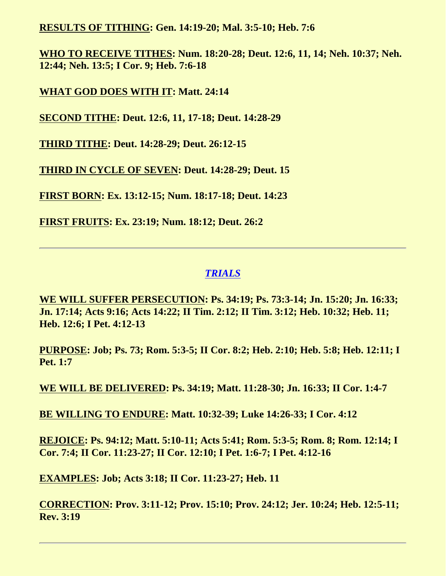**RESULTS OF TITHING: Gen. 14:19-20; Mal. 3:5-10; Heb. 7:6**

**WHO TO RECEIVE TITHES: Num. 18:20-28; Deut. 12:6, 11, 14; Neh. 10:37; Neh. 12:44; Neh. 13:5; I Cor. 9; Heb. 7:6-18**

**WHAT GOD DOES WITH IT: Matt. 24:14**

**SECOND TITHE: Deut. 12:6, 11, 17-18; Deut. 14:28-29**

**THIRD TITHE: Deut. 14:28-29; Deut. 26:12-15**

**THIRD IN CYCLE OF SEVEN: Deut. 14:28-29; Deut. 15**

**FIRST BORN: Ex. 13:12-15; Num. 18:17-18; Deut. 14:23**

**FIRST FRUITS: Ex. 23:19; Num. 18:12; Deut. 26:2**

# *TRIALS*

<span id="page-23-0"></span>**WE WILL SUFFER PERSECUTION: Ps. 34:19; Ps. 73:3-14; Jn. 15:20; Jn. 16:33; Jn. 17:14; Acts 9:16; Acts 14:22; II Tim. 2:12; II Tim. 3:12; Heb. 10:32; Heb. 11; Heb. 12:6; I Pet. 4:12-13**

**PURPOSE: Job; Ps. 73; Rom. 5:3-5; II Cor. 8:2; Heb. 2:10; Heb. 5:8; Heb. 12:11; I Pet. 1:7**

**WE WILL BE DELIVERED: Ps. 34:19; Matt. 11:28-30; Jn. 16:33; II Cor. 1:4-7**

**BE WILLING TO ENDURE: Matt. 10:32-39; Luke 14:26-33; I Cor. 4:12**

**REJOICE: Ps. 94:12; Matt. 5:10-11; Acts 5:41; Rom. 5:3-5; Rom. 8; Rom. 12:14; I Cor. 7:4; II Cor. 11:23-27; II Cor. 12:10; I Pet. 1:6-7; I Pet. 4:12-16**

**EXAMPLES: Job; Acts 3:18; II Cor. 11:23-27; Heb. 11**

<span id="page-23-1"></span>**CORRECTION: Prov. 3:11-12; Prov. 15:10; Prov. 24:12; Jer. 10:24; Heb. 12:5-11; Rev. 3:19**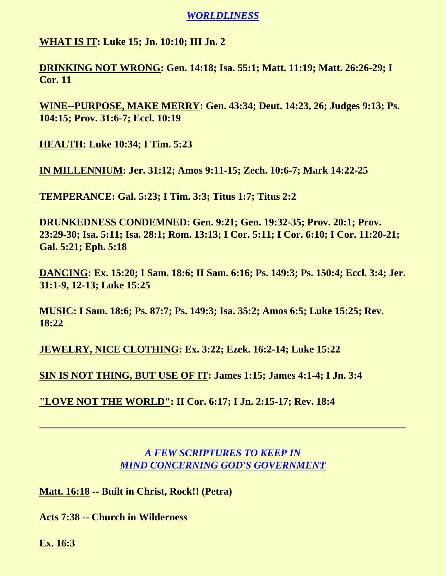#### *WORLDLINESS*

#### **WHAT IS IT: Luke 15; Jn. 10:10; III Jn. 2**

**DRINKING NOT WRONG: Gen. 14:18; Isa. 55:1; Matt. 11:19; Matt. 26:26-29; I Cor. 11**

**WINE--PURPOSE, MAKE MERRY: Gen. 43:34; Deut. 14:23, 26; Judges 9:13; Ps. 104:15; Prov. 31:6-7; Eccl. 10:19**

**HEALTH: Luke 10:34; I Tim. 5:23**

**IN MILLENNIUM: Jer. 31:12; Amos 9:11-15; Zech. 10:6-7; Mark 14:22-25**

**TEMPERANCE: Gal. 5:23; I Tim. 3:3; Titus 1:7; Titus 2:2**

**DRUNKEDNESS CONDEMNED: Gen. 9:21; Gen. 19:32-35; Prov. 20:1; Prov. 23:29-30; Isa. 5:11; Isa. 28:1; Rom. 13:13; I Cor. 5:11; I Cor. 6:10; I Cor. 11:20-21; Gal. 5:21; Eph. 5:18**

**DANCING: Ex. 15:20; I Sam. 18:6; II Sam. 6:16; Ps. 149:3; Ps. 150:4; Eccl. 3:4; Jer. 31:1-9, 12-13; Luke 15:25**

**MUSIC: I Sam. 18:6; Ps. 87:7; Ps. 149:3; Isa. 35:2; Amos 6:5; Luke 15:25; Rev. 18:22**

**JEWELRY, NICE CLOTHING: Ex. 3:22; Ezek. 16:2-14; Luke 15:22**

**SIN IS NOT THING, BUT USE OF IT: James 1:15; James 4:1-4; I Jn. 3:4**

**"LOVE NOT THE WORLD": II Cor. 6:17; I Jn. 2:15-17; Rev. 18:4**

# *A FEW SCRIPTURES TO KEEP IN MIND CONCERNING GOD'S GOVERNMENT*

**Matt. 16:18 -- Built in Christ, Rock!! (Petra)**

**Acts 7:38 -- Church in Wilderness**

**Ex. 16:3**